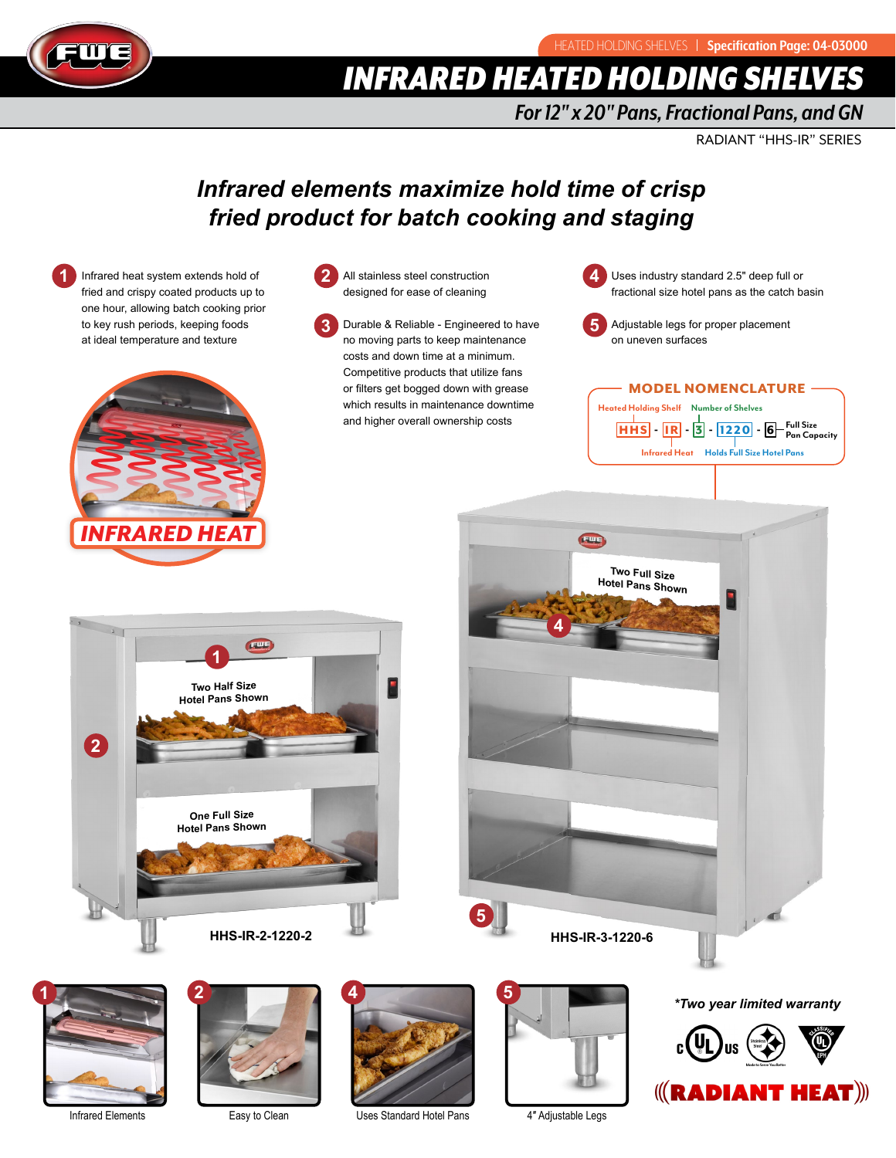



# **INFRARED HEATED HOLDING SHELV**

# *For 12" x 20" Pans, Fractional Pans, and GN*

RADIANT "HHS-IR" SERIES

# *Infrared elements maximize hold time of crisp fried product for batch cooking and staging*





- All stainless steel construction designed for ease of cleaning **2**
- Durable & Reliable Engineered to have no moving parts to keep maintenance costs and down time at a minimum. Competitive products that utilize fans or filters get bogged down with grease which results in maintenance downtime and higher overall ownership costs **3**

Uses industry standard 2.5" deep full or fractional size hotel pans as the catch basin **4**



Adjustable legs for proper placement

### MODEL NOMENCLATURE

HHS - I R - 3 - 1220 - 6 **Full Size Pan Capacity Heated Holding Shelf Number of Shelves Infrared Heat Holds Full Size Hotel Pans**







Infrared Elements



Easy to Clean



Uses Standard Hotel Pans

4″ Adjustable Legs

*\*Two year limited warranty*